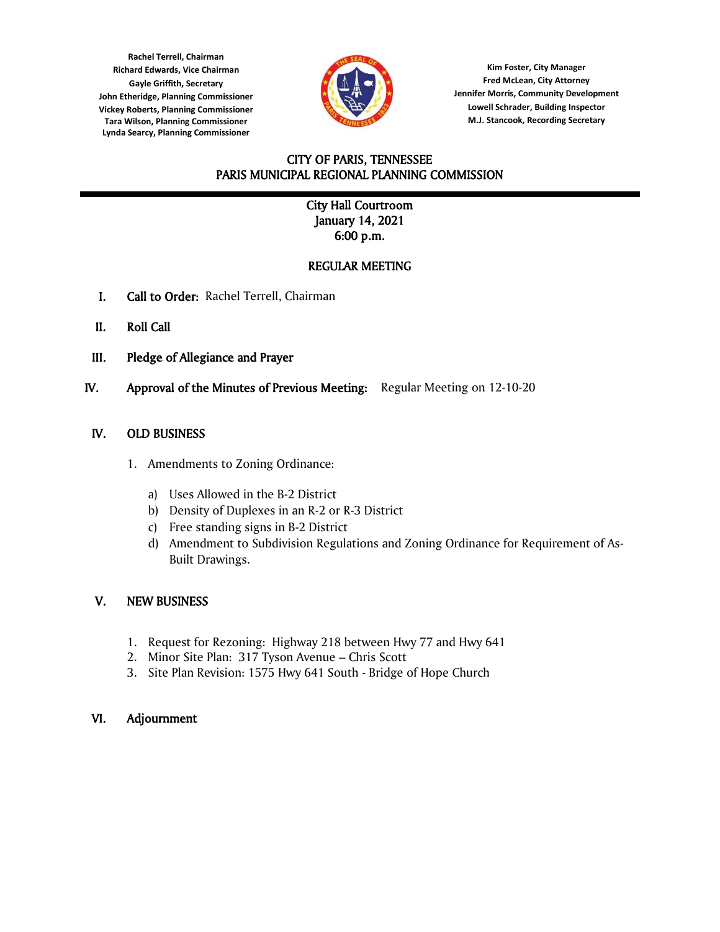**Tara Wilson, Planning Commissioner Rachel Terrell, Chairman Richard Edwards, Vice Chairman Gayle Griffith, Secretary John Etheridge, Planning Commissioner Vickey Roberts, Planning Commissioner Lynda Searcy, Planning Commissioner**



**Kim Foster, City Manager Fred McLean, City Attorney Jennifer Morris, Community Development Lowell Schrader, Building Inspector M.J. Stancook, Recording Secretary**

### CITY OF PARIS, TENNESSEE PARIS MUNICIPAL REGIONAL PLANNING COMMISSION l

# City Hall Courtroom January 14, 2021 6:00 p.m.

# REGULAR MEETING

- I. Call to Order: Rachel Terrell, Chairman
- II. Roll Call
- III. Pledge of Allegiance and Prayer
- IV. Approval of the Minutes of Previous Meeting: Regular Meeting on 12-10-20

# IV. OLD BUSINESS

- 1. Amendments to Zoning Ordinance:
	- a) Uses Allowed in the B-2 District
	- b) Density of Duplexes in an R-2 or R-3 District
	- c) Free standing signs in B-2 District
	- d) Amendment to Subdivision Regulations and Zoning Ordinance for Requirement of As-Built Drawings.

# V. NEW BUSINESS

- 1. Request for Rezoning: Highway 218 between Hwy 77 and Hwy 641
- 2. Minor Site Plan: 317 Tyson Avenue Chris Scott
- 3. Site Plan Revision: 1575 Hwy 641 South Bridge of Hope Church

#### VI. Adjournment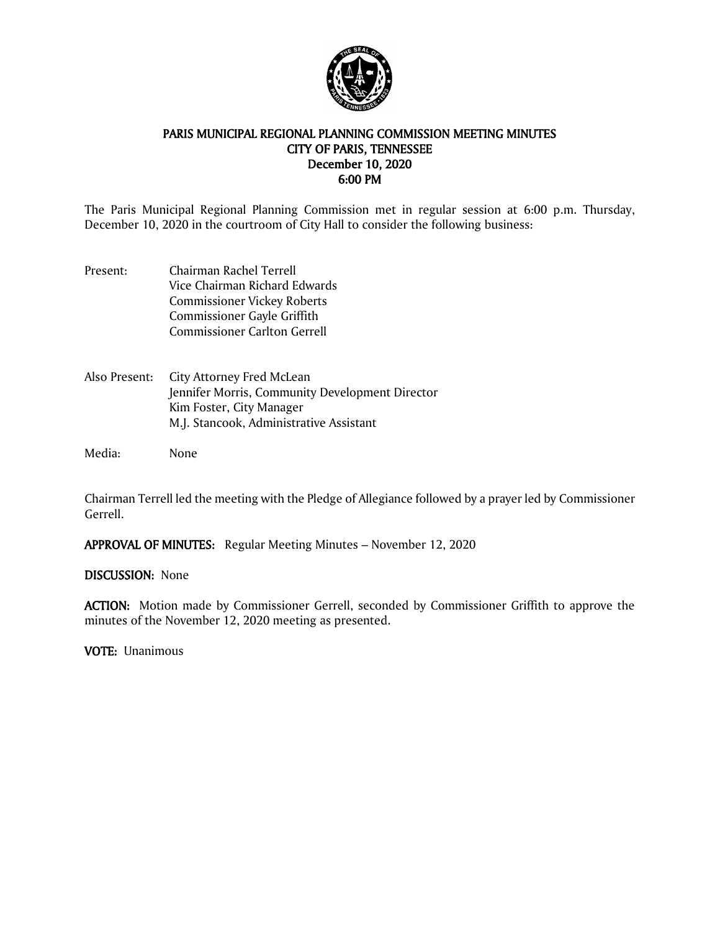

### PARIS MUNICIPAL REGIONAL PLANNING COMMISSION MEETING MINUTES CITY OF PARIS, TENNESSEE December 10, 2020 6:00 PM

The Paris Municipal Regional Planning Commission met in regular session at 6:00 p.m. Thursday, December 10, 2020 in the courtroom of City Hall to consider the following business:

- Present: Chairman Rachel Terrell Vice Chairman Richard Edwards Commissioner Vickey Roberts Commissioner Gayle Griffith Commissioner Carlton Gerrell
- Also Present: City Attorney Fred McLean Jennifer Morris, Community Development Director Kim Foster, City Manager M.J. Stancook, Administrative Assistant

Media: None

Chairman Terrell led the meeting with the Pledge of Allegiance followed by a prayer led by Commissioner Gerrell.

APPROVAL OF MINUTES: Regular Meeting Minutes – November 12, 2020

#### DISCUSSION: None

ACTION: Motion made by Commissioner Gerrell, seconded by Commissioner Griffith to approve the minutes of the November 12, 2020 meeting as presented.

VOTE: Unanimous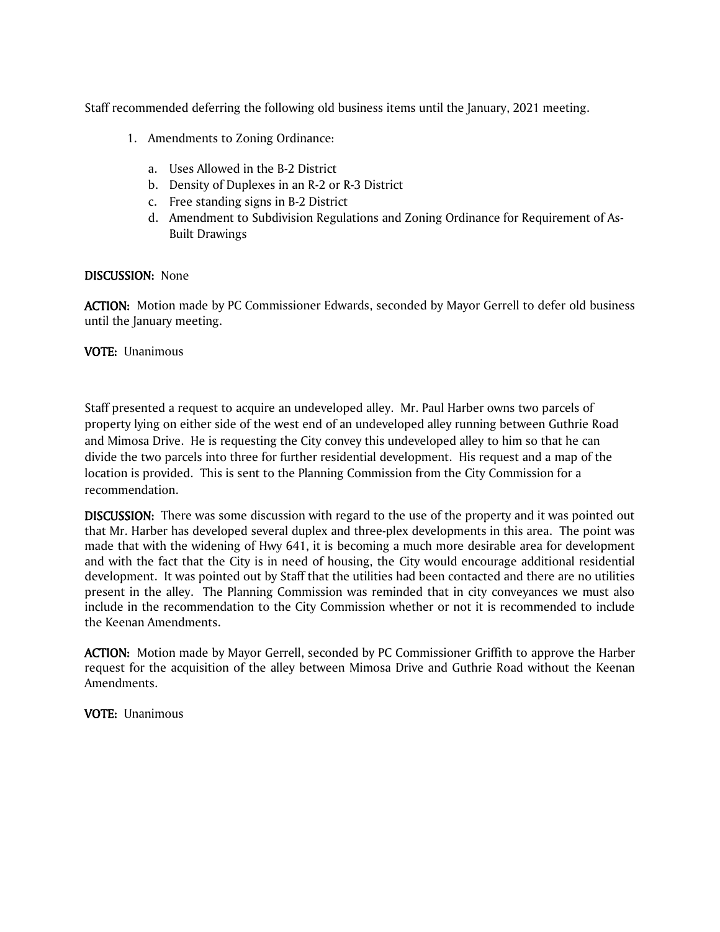Staff recommended deferring the following old business items until the January, 2021 meeting.

- 1. Amendments to Zoning Ordinance:
	- a. Uses Allowed in the B-2 District
	- b. Density of Duplexes in an R-2 or R-3 District
	- c. Free standing signs in B-2 District
	- d. Amendment to Subdivision Regulations and Zoning Ordinance for Requirement of As-Built Drawings

#### DISCUSSION: None

ACTION: Motion made by PC Commissioner Edwards, seconded by Mayor Gerrell to defer old business until the January meeting.

### VOTE: Unanimous

Staff presented a request to acquire an undeveloped alley. Mr. Paul Harber owns two parcels of property lying on either side of the west end of an undeveloped alley running between Guthrie Road and Mimosa Drive. He is requesting the City convey this undeveloped alley to him so that he can divide the two parcels into three for further residential development. His request and a map of the location is provided. This is sent to the Planning Commission from the City Commission for a recommendation.

DISCUSSION: There was some discussion with regard to the use of the property and it was pointed out that Mr. Harber has developed several duplex and three-plex developments in this area. The point was made that with the widening of Hwy 641, it is becoming a much more desirable area for development and with the fact that the City is in need of housing, the City would encourage additional residential development. It was pointed out by Staff that the utilities had been contacted and there are no utilities present in the alley. The Planning Commission was reminded that in city conveyances we must also include in the recommendation to the City Commission whether or not it is recommended to include the Keenan Amendments.

ACTION: Motion made by Mayor Gerrell, seconded by PC Commissioner Griffith to approve the Harber request for the acquisition of the alley between Mimosa Drive and Guthrie Road without the Keenan Amendments.

VOTE: Unanimous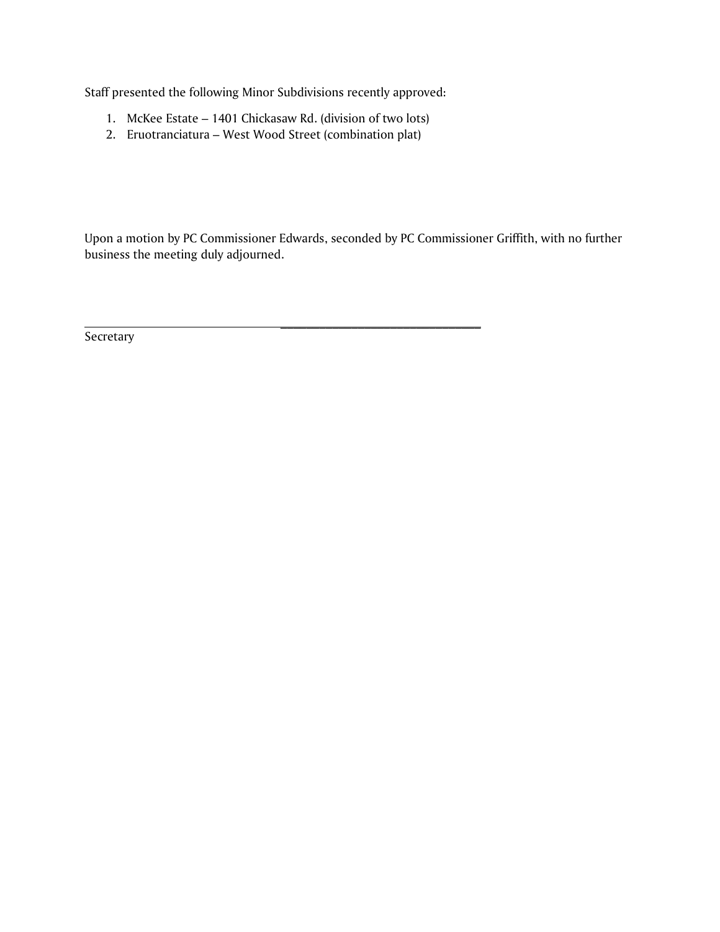Staff presented the following Minor Subdivisions recently approved:

1. McKee Estate – 1401 Chickasaw Rd. (division of two lots)

 $\frac{1}{2}$  ,  $\frac{1}{2}$  ,  $\frac{1}{2}$  ,  $\frac{1}{2}$  ,  $\frac{1}{2}$  ,  $\frac{1}{2}$  ,  $\frac{1}{2}$  ,  $\frac{1}{2}$  ,  $\frac{1}{2}$  ,  $\frac{1}{2}$  ,  $\frac{1}{2}$  ,  $\frac{1}{2}$  ,  $\frac{1}{2}$  ,  $\frac{1}{2}$  ,  $\frac{1}{2}$  ,  $\frac{1}{2}$  ,  $\frac{1}{2}$  ,  $\frac{1}{2}$  ,  $\frac{1$ 

2. Eruotranciatura – West Wood Street (combination plat)

Upon a motion by PC Commissioner Edwards, seconded by PC Commissioner Griffith, with no further business the meeting duly adjourned.

Secretary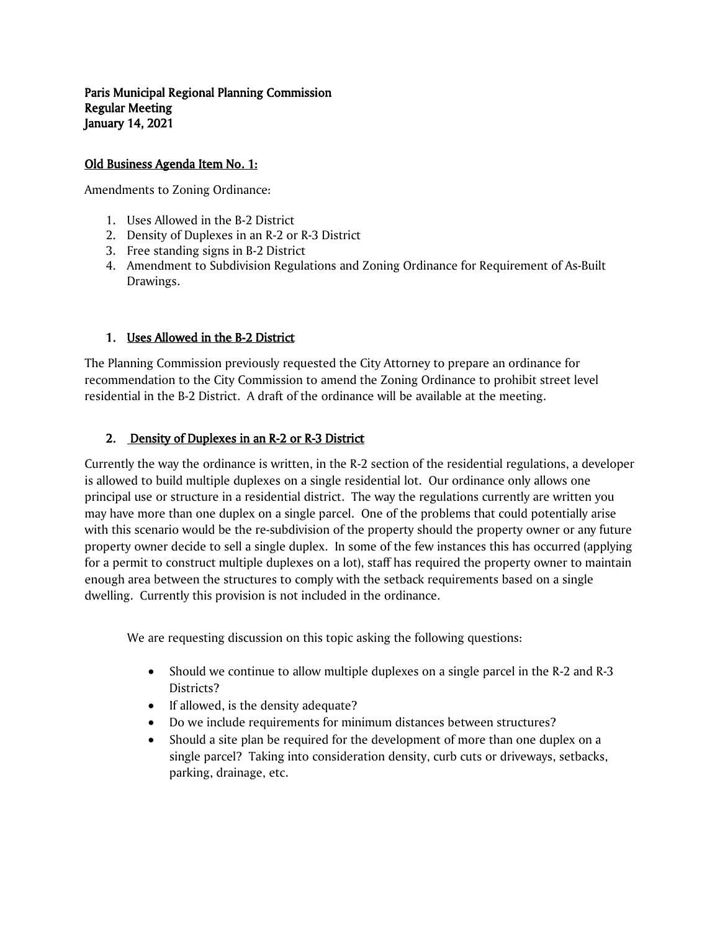Paris Municipal Regional Planning Commission Regular Meeting January 14, 2021

# Old Business Agenda Item No. 1:

Amendments to Zoning Ordinance:

- 1. Uses Allowed in the B-2 District
- 2. Density of Duplexes in an R-2 or R-3 District
- 3. Free standing signs in B-2 District
- 4. Amendment to Subdivision Regulations and Zoning Ordinance for Requirement of As-Built Drawings.

# 1. Uses Allowed in the B-2 District

The Planning Commission previously requested the City Attorney to prepare an ordinance for recommendation to the City Commission to amend the Zoning Ordinance to prohibit street level residential in the B-2 District. A draft of the ordinance will be available at the meeting.

# 2. Density of Duplexes in an R-2 or R-3 District

Currently the way the ordinance is written, in the R-2 section of the residential regulations, a developer is allowed to build multiple duplexes on a single residential lot. Our ordinance only allows one principal use or structure in a residential district. The way the regulations currently are written you may have more than one duplex on a single parcel. One of the problems that could potentially arise with this scenario would be the re-subdivision of the property should the property owner or any future property owner decide to sell a single duplex. In some of the few instances this has occurred (applying for a permit to construct multiple duplexes on a lot), staff has required the property owner to maintain enough area between the structures to comply with the setback requirements based on a single dwelling. Currently this provision is not included in the ordinance.

We are requesting discussion on this topic asking the following questions:

- Should we continue to allow multiple duplexes on a single parcel in the R-2 and R-3 Districts?
- If allowed, is the density adequate?
- Do we include requirements for minimum distances between structures?
- Should a site plan be required for the development of more than one duplex on a single parcel? Taking into consideration density, curb cuts or driveways, setbacks, parking, drainage, etc.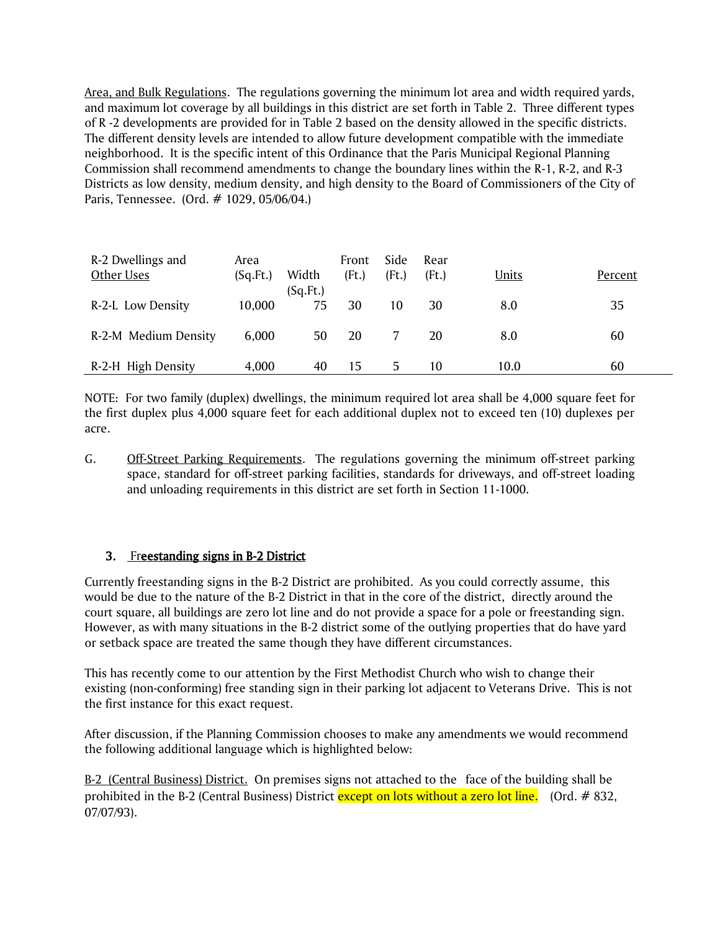Area, and Bulk Regulations. The regulations governing the minimum lot area and width required yards, and maximum lot coverage by all buildings in this district are set forth in Table 2. Three different types of R -2 developments are provided for in Table 2 based on the density allowed in the specific districts. The different density levels are intended to allow future development compatible with the immediate neighborhood. It is the specific intent of this Ordinance that the Paris Municipal Regional Planning Commission shall recommend amendments to change the boundary lines within the R-1, R-2, and R-3 Districts as low density, medium density, and high density to the Board of Commissioners of the City of Paris, Tennessee. (Ord. # 1029, 05/06/04.)

| R-2 Dwellings and<br>Other Uses | Area<br>(Sq.Ft.) | Width          | Front<br>(Ft.) | Side<br>(Ft.) | Rear<br>(Ft.) | <b>Units</b> | Percent |
|---------------------------------|------------------|----------------|----------------|---------------|---------------|--------------|---------|
| R-2-L Low Density               | 10,000           | (Sq.Ft.)<br>75 | 30             | 10            | 30            | 8.0          | 35      |
| R-2-M Medium Density            | 6,000            | 50             | 20             |               | 20            | 8.0          | 60      |
| R-2-H High Density              | 4,000            | 40             | 15             | 5.            | 10            | 10.0         | 60      |

NOTE: For two family (duplex) dwellings, the minimum required lot area shall be 4,000 square feet for the first duplex plus 4,000 square feet for each additional duplex not to exceed ten (10) duplexes per acre.

G. Off-Street Parking Requirements. The regulations governing the minimum off-street parking space, standard for off-street parking facilities, standards for driveways, and off-street loading and unloading requirements in this district are set forth in Section 11-1000.

# 3. Freestanding signs in B-2 District

Currently freestanding signs in the B-2 District are prohibited. As you could correctly assume, this would be due to the nature of the B-2 District in that in the core of the district, directly around the court square, all buildings are zero lot line and do not provide a space for a pole or freestanding sign. However, as with many situations in the B-2 district some of the outlying properties that do have yard or setback space are treated the same though they have different circumstances.

This has recently come to our attention by the First Methodist Church who wish to change their existing (non-conforming) free standing sign in their parking lot adjacent to Veterans Drive. This is not the first instance for this exact request.

After discussion, if the Planning Commission chooses to make any amendments we would recommend the following additional language which is highlighted below:

B-2 (Central Business) District. On premises signs not attached to the face of the building shall be prohibited in the B-2 (Central Business) District except on lots without a zero lot line. (Ord. # 832, 07/07/93).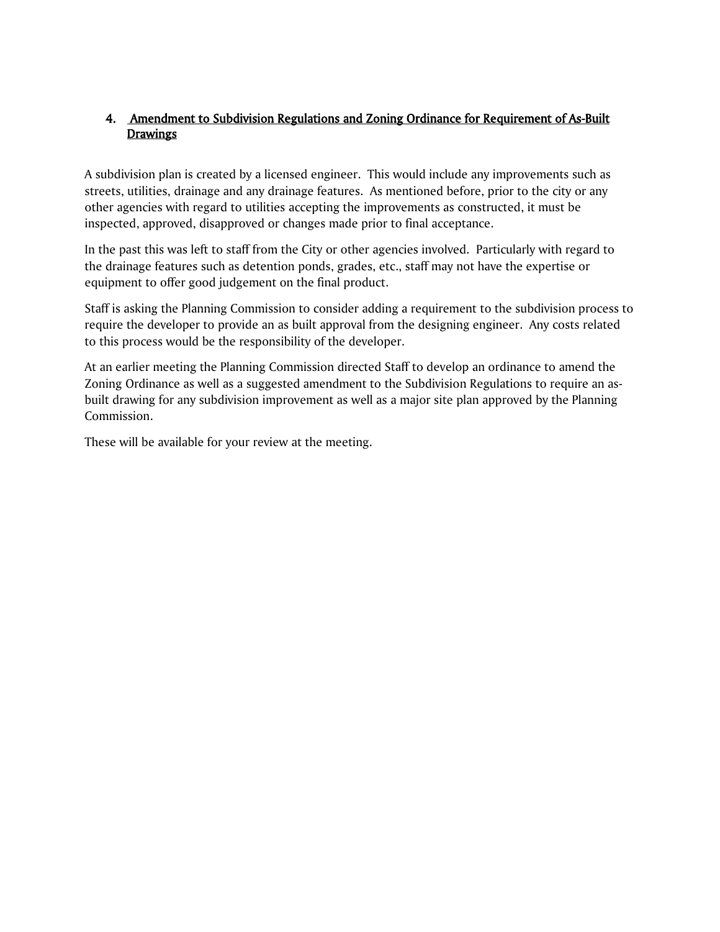# 4. Amendment to Subdivision Regulations and Zoning Ordinance for Requirement of As-Built **Drawings**

A subdivision plan is created by a licensed engineer. This would include any improvements such as streets, utilities, drainage and any drainage features. As mentioned before, prior to the city or any other agencies with regard to utilities accepting the improvements as constructed, it must be inspected, approved, disapproved or changes made prior to final acceptance.

In the past this was left to staff from the City or other agencies involved. Particularly with regard to the drainage features such as detention ponds, grades, etc., staff may not have the expertise or equipment to offer good judgement on the final product.

Staff is asking the Planning Commission to consider adding a requirement to the subdivision process to require the developer to provide an as built approval from the designing engineer. Any costs related to this process would be the responsibility of the developer.

At an earlier meeting the Planning Commission directed Staff to develop an ordinance to amend the Zoning Ordinance as well as a suggested amendment to the Subdivision Regulations to require an asbuilt drawing for any subdivision improvement as well as a major site plan approved by the Planning Commission.

These will be available for your review at the meeting.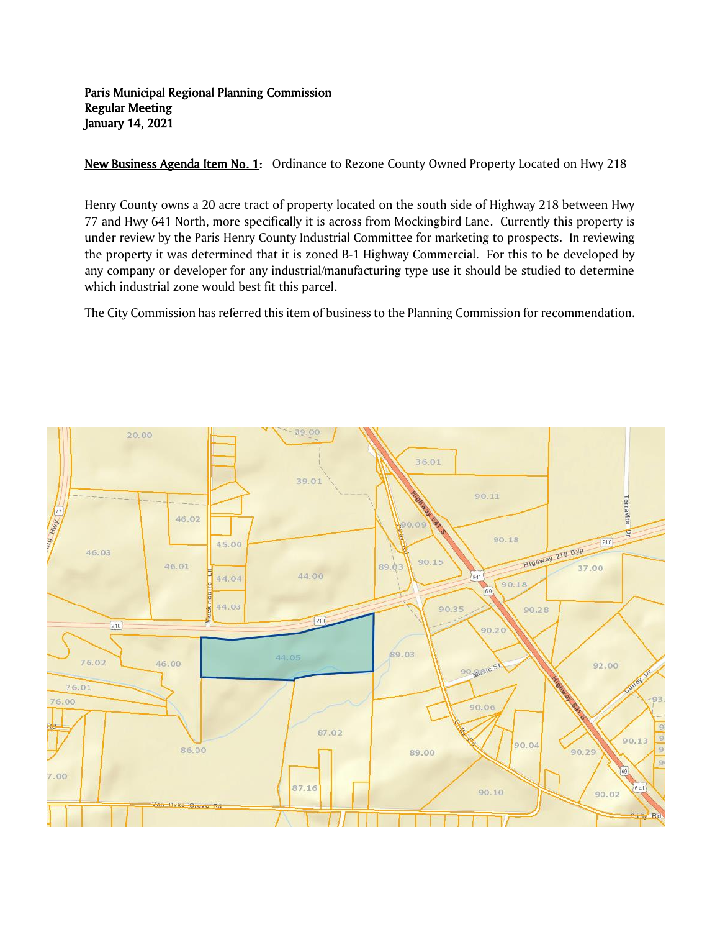### Paris Municipal Regional Planning Commission Regular Meeting January 14, 2021

New Business Agenda Item No. 1: Ordinance to Rezone County Owned Property Located on Hwy 218

Henry County owns a 20 acre tract of property located on the south side of Highway 218 between Hwy 77 and Hwy 641 North, more specifically it is across from Mockingbird Lane. Currently this property is under review by the Paris Henry County Industrial Committee for marketing to prospects. In reviewing the property it was determined that it is zoned B-1 Highway Commercial. For this to be developed by any company or developer for any industrial/manufacturing type use it should be studied to determine which industrial zone would best fit this parcel.

The City Commission has referred this item of business to the Planning Commission for recommendation.

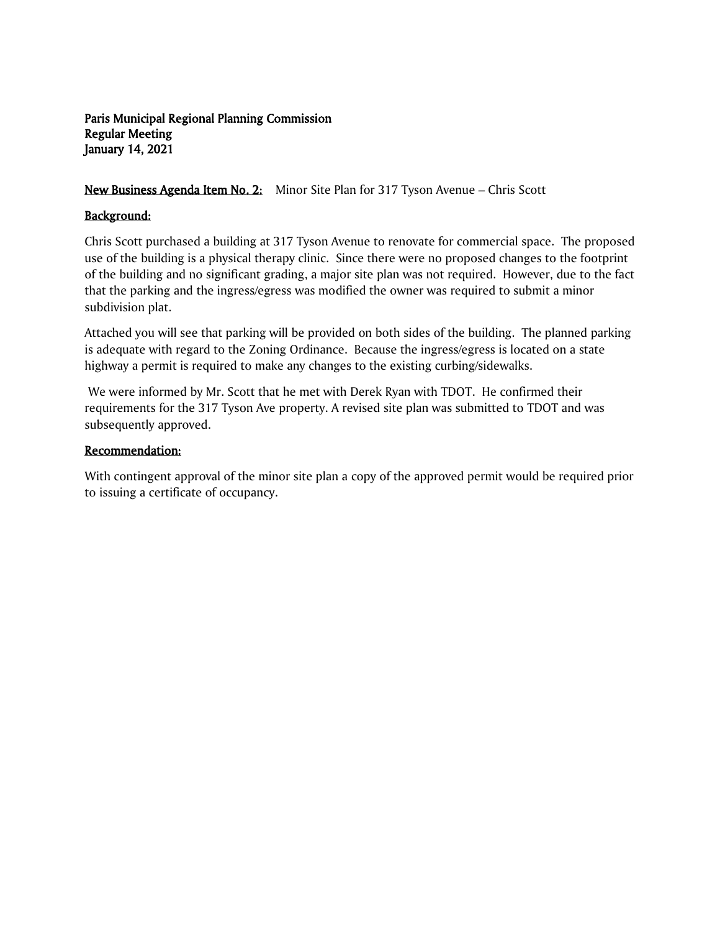# Paris Municipal Regional Planning Commission Regular Meeting January 14, 2021

# New Business Agenda Item No. 2: Minor Site Plan for 317 Tyson Avenue – Chris Scott

# Background:

Chris Scott purchased a building at 317 Tyson Avenue to renovate for commercial space. The proposed use of the building is a physical therapy clinic. Since there were no proposed changes to the footprint of the building and no significant grading, a major site plan was not required. However, due to the fact that the parking and the ingress/egress was modified the owner was required to submit a minor subdivision plat.

Attached you will see that parking will be provided on both sides of the building. The planned parking is adequate with regard to the Zoning Ordinance. Because the ingress/egress is located on a state highway a permit is required to make any changes to the existing curbing/sidewalks.

We were informed by Mr. Scott that he met with Derek Ryan with TDOT. He confirmed their requirements for the 317 Tyson Ave property. A revised site plan was submitted to TDOT and was subsequently approved.

# Recommendation:

With contingent approval of the minor site plan a copy of the approved permit would be required prior to issuing a certificate of occupancy.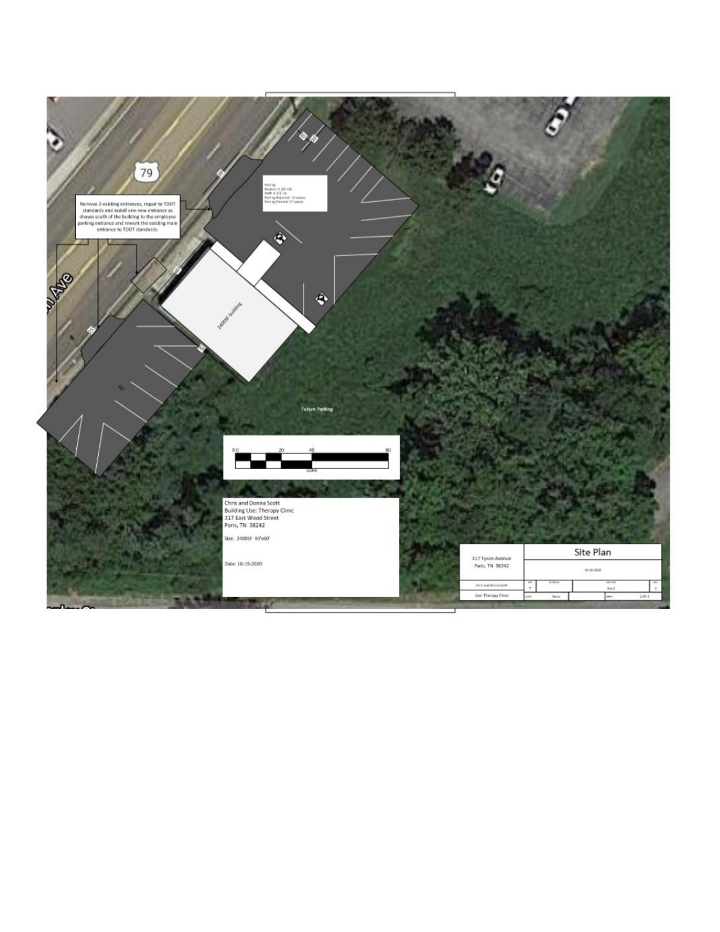